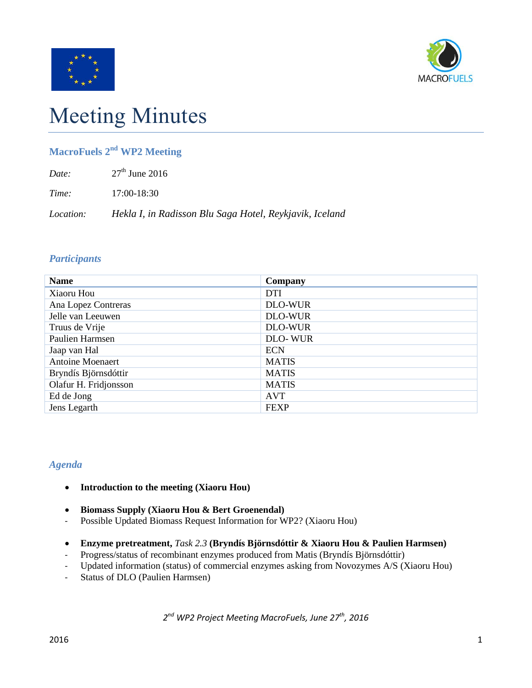



# Meeting Minutes

## **MacroFuels 2 nd WP2 Meeting**

*Time:* 17:00-18:30

*Location: Hekla I, in Radisson Blu Saga Hotel, Reykjavik, Iceland*

### *Participants*

| <b>Name</b>             | Company        |
|-------------------------|----------------|
| Xiaoru Hou              | <b>DTI</b>     |
| Ana Lopez Contreras     | <b>DLO-WUR</b> |
| Jelle van Leeuwen       | <b>DLO-WUR</b> |
| Truus de Vrije          | <b>DLO-WUR</b> |
| Paulien Harmsen         | <b>DLO-WUR</b> |
| Jaap van Hal            | <b>ECN</b>     |
| <b>Antoine Moenaert</b> | <b>MATIS</b>   |
| Bryndís Björnsdóttir    | <b>MATIS</b>   |
| Olafur H. Fridjonsson   | <b>MATIS</b>   |
| Ed de Jong              | AVT            |
| Jens Legarth            | <b>FEXP</b>    |

### *Agenda*

- **Introduction to the meeting (Xiaoru Hou)**
- **Biomass Supply (Xiaoru Hou & Bert Groenendal)**
- Possible Updated Biomass Request Information for WP2? (Xiaoru Hou)
- **Enzyme pretreatment,** *Task 2.3* **(Bryndís Björnsdóttir & Xiaoru Hou & Paulien Harmsen)**
- Progress/status of recombinant enzymes produced from Matis (Bryndís Björnsdóttir)
- Updated information (status) of commercial enzymes asking from Novozymes A/S (Xiaoru Hou)
- Status of DLO (Paulien Harmsen)

*2 nd WP2 Project Meeting MacroFuels, June 27th , 2016*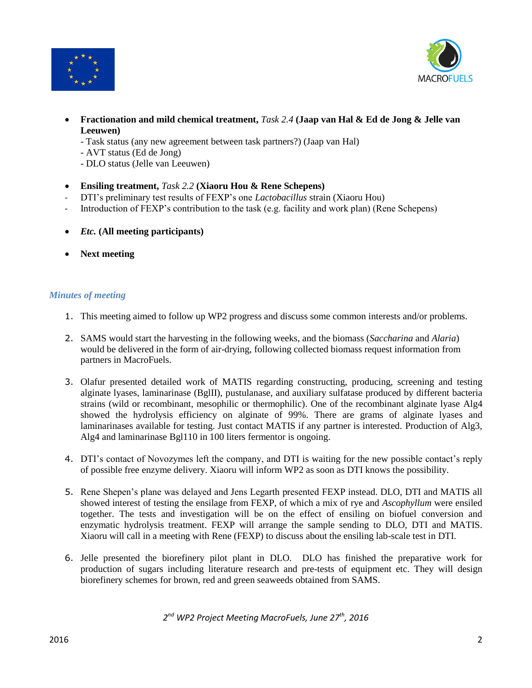



- **Fractionation and mild chemical treatment,** *Task 2.4* **(Jaap van Hal & Ed de Jong & Jelle van Leeuwen)**
	- Task status (any new agreement between task partners?) (Jaap van Hal)
	- AVT status (Ed de Jong)
	- DLO status (Jelle van Leeuwen)
- **Ensiling treatment,** *Task 2.2* **(Xiaoru Hou & Rene Schepens)**
- DTI's preliminary test results of FEXP's one *Lactobacillus* strain (Xiaoru Hou)
- Introduction of FEXP's contribution to the task (e.g. facility and work plan) (Rene Schepens)
- *Etc.* **(All meeting participants)**
- **Next meeting**

#### *Minutes of meeting*

- 1. This meeting aimed to follow up WP2 progress and discuss some common interests and/or problems.
- 2. SAMS would start the harvesting in the following weeks, and the biomass (*Saccharina* and *Alaria*) would be delivered in the form of air-drying, following collected biomass request information from partners in MacroFuels.
- 3. Olafur presented detailed work of MATIS regarding constructing, producing, screening and testing alginate lyases, laminarinase (BglII), pustulanase, and auxiliary sulfatase produced by different bacteria strains (wild or recombinant, mesophilic or thermophilic). One of the recombinant alginate lyase Alg4 showed the hydrolysis efficiency on alginate of 99%. There are grams of alginate lyases and laminarinases available for testing. Just contact MATIS if any partner is interested. Production of Alg3, Alg4 and laminarinase Bgl110 in 100 liters fermentor is ongoing.
- 4. DTI's contact of Novozymes left the company, and DTI is waiting for the new possible contact's reply of possible free enzyme delivery. Xiaoru will inform WP2 as soon as DTI knows the possibility.
- 5. Rene Shepen's plane was delayed and Jens Legarth presented FEXP instead. DLO, DTI and MATIS all showed interest of testing the ensilage from FEXP, of which a mix of rye and *Ascophyllum* were ensiled together. The tests and investigation will be on the effect of ensiling on biofuel conversion and enzymatic hydrolysis treatment. FEXP will arrange the sample sending to DLO, DTI and MATIS. Xiaoru will call in a meeting with Rene (FEXP) to discuss about the ensiling lab-scale test in DTI.
- 6. Jelle presented the biorefinery pilot plant in DLO. DLO has finished the preparative work for production of sugars including literature research and pre-tests of equipment etc. They will design biorefinery schemes for brown, red and green seaweeds obtained from SAMS.

*2 nd WP2 Project Meeting MacroFuels, June 27th , 2016*